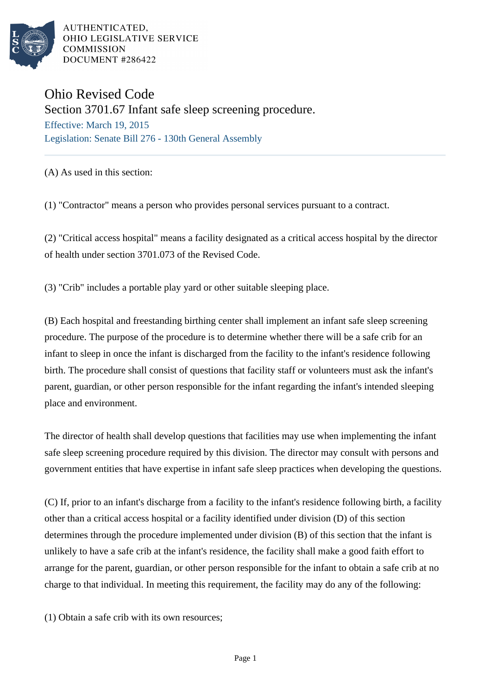

## Ohio Revised Code

Section 3701.67 Infant safe sleep screening procedure. Effective: March 19, 2015

Legislation: Senate Bill 276 - 130th General Assembly

## (A) As used in this section:

(1) "Contractor" means a person who provides personal services pursuant to a contract.

(2) "Critical access hospital" means a facility designated as a critical access hospital by the director of health under section 3701.073 of the Revised Code.

(3) "Crib" includes a portable play yard or other suitable sleeping place.

(B) Each hospital and freestanding birthing center shall implement an infant safe sleep screening procedure. The purpose of the procedure is to determine whether there will be a safe crib for an infant to sleep in once the infant is discharged from the facility to the infant's residence following birth. The procedure shall consist of questions that facility staff or volunteers must ask the infant's parent, guardian, or other person responsible for the infant regarding the infant's intended sleeping place and environment.

The director of health shall develop questions that facilities may use when implementing the infant safe sleep screening procedure required by this division. The director may consult with persons and government entities that have expertise in infant safe sleep practices when developing the questions.

(C) If, prior to an infant's discharge from a facility to the infant's residence following birth, a facility other than a critical access hospital or a facility identified under division (D) of this section determines through the procedure implemented under division (B) of this section that the infant is unlikely to have a safe crib at the infant's residence, the facility shall make a good faith effort to arrange for the parent, guardian, or other person responsible for the infant to obtain a safe crib at no charge to that individual. In meeting this requirement, the facility may do any of the following:

(1) Obtain a safe crib with its own resources;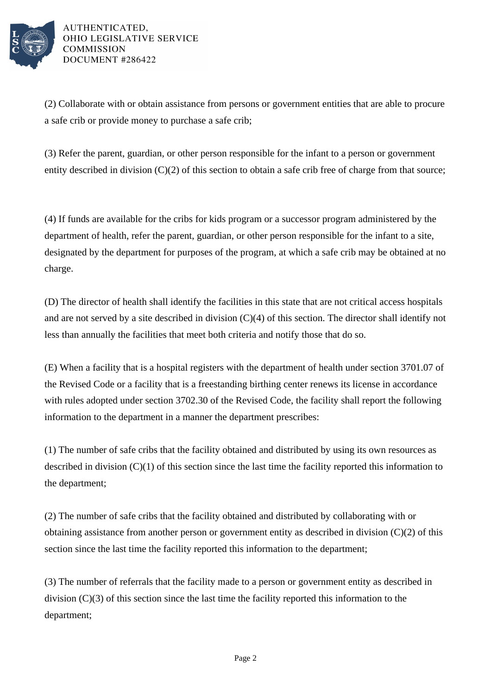

(2) Collaborate with or obtain assistance from persons or government entities that are able to procure a safe crib or provide money to purchase a safe crib;

(3) Refer the parent, guardian, or other person responsible for the infant to a person or government entity described in division (C)(2) of this section to obtain a safe crib free of charge from that source;

(4) If funds are available for the cribs for kids program or a successor program administered by the department of health, refer the parent, guardian, or other person responsible for the infant to a site, designated by the department for purposes of the program, at which a safe crib may be obtained at no charge.

(D) The director of health shall identify the facilities in this state that are not critical access hospitals and are not served by a site described in division (C)(4) of this section. The director shall identify not less than annually the facilities that meet both criteria and notify those that do so.

(E) When a facility that is a hospital registers with the department of health under section 3701.07 of the Revised Code or a facility that is a freestanding birthing center renews its license in accordance with rules adopted under section 3702.30 of the Revised Code, the facility shall report the following information to the department in a manner the department prescribes:

(1) The number of safe cribs that the facility obtained and distributed by using its own resources as described in division (C)(1) of this section since the last time the facility reported this information to the department;

(2) The number of safe cribs that the facility obtained and distributed by collaborating with or obtaining assistance from another person or government entity as described in division (C)(2) of this section since the last time the facility reported this information to the department;

(3) The number of referrals that the facility made to a person or government entity as described in division (C)(3) of this section since the last time the facility reported this information to the department;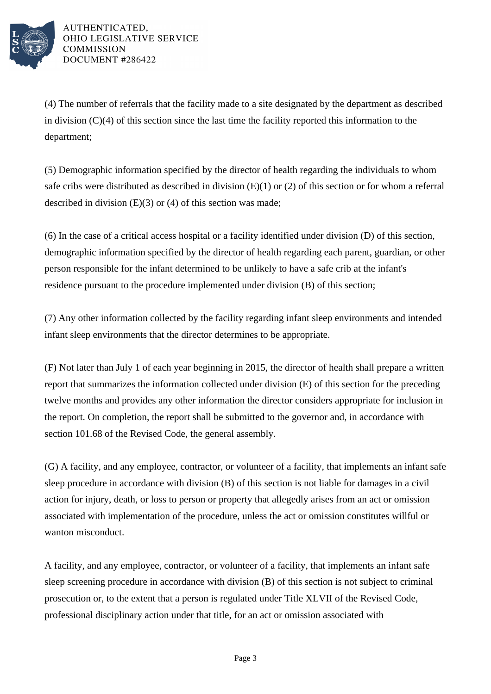

(4) The number of referrals that the facility made to a site designated by the department as described in division (C)(4) of this section since the last time the facility reported this information to the department;

(5) Demographic information specified by the director of health regarding the individuals to whom safe cribs were distributed as described in division (E)(1) or (2) of this section or for whom a referral described in division  $(E)(3)$  or  $(4)$  of this section was made;

(6) In the case of a critical access hospital or a facility identified under division (D) of this section, demographic information specified by the director of health regarding each parent, guardian, or other person responsible for the infant determined to be unlikely to have a safe crib at the infant's residence pursuant to the procedure implemented under division (B) of this section;

(7) Any other information collected by the facility regarding infant sleep environments and intended infant sleep environments that the director determines to be appropriate.

(F) Not later than July 1 of each year beginning in 2015, the director of health shall prepare a written report that summarizes the information collected under division (E) of this section for the preceding twelve months and provides any other information the director considers appropriate for inclusion in the report. On completion, the report shall be submitted to the governor and, in accordance with section 101.68 of the Revised Code, the general assembly.

(G) A facility, and any employee, contractor, or volunteer of a facility, that implements an infant safe sleep procedure in accordance with division (B) of this section is not liable for damages in a civil action for injury, death, or loss to person or property that allegedly arises from an act or omission associated with implementation of the procedure, unless the act or omission constitutes willful or wanton misconduct.

A facility, and any employee, contractor, or volunteer of a facility, that implements an infant safe sleep screening procedure in accordance with division (B) of this section is not subject to criminal prosecution or, to the extent that a person is regulated under Title XLVII of the Revised Code, professional disciplinary action under that title, for an act or omission associated with